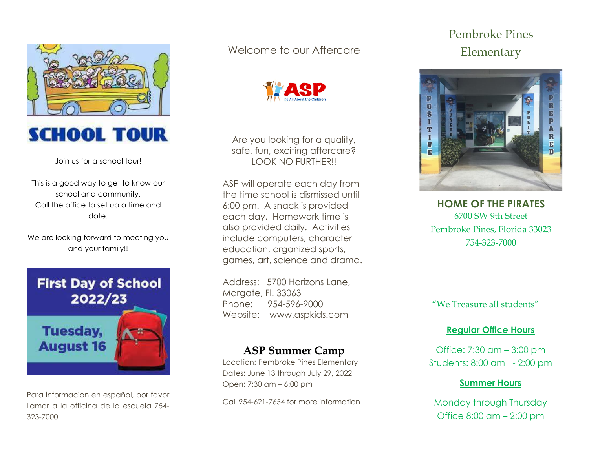



Join us for a school tour!

This is a good way to get to know our school and community. Call the office to set up a time and date.

We are looking forward to meeting you and your family!!



Para informacion en español, por favor llamar a la officina de la escuela 754- 323-7000.

# Welcome to our Aftercare



Are you looking for a quality, safe, fun, exciting aftercare? LOOK NO FURTHER!!

ASP will operate each day from the time school is dismissed until 6:00 pm. A snack is provided each day. Homework time is also provided daily. Activities include computers, character education, organized sports, games, art, science and drama.

Address: 5700 Horizons Lane, Margate, Fl. 33063 Phone: 954-596-9000 Website: [www.aspkids.com](http://www.aspkids.com/)

# **ASP Summer Camp**

Location: Pembroke Pines Elementary Dates: June 13 through July 29, 2022 Open: 7:30 am – 6:00 pm

Call 954-621-7654 for more information

# Pembroke Pines Elementary



**HOME OF THE PIRATES** 6700 SW 9th Street Pembroke Pines, Florida 33023 754-323-7000

"We Treasure all students"

## **Regular Office Hours**

Office: 7:30 am – 3:00 pm Students: 8:00 am - 2:00 pm

## **Summer Hours**

Monday through Thursday Office 8:00 am – 2:00 pm